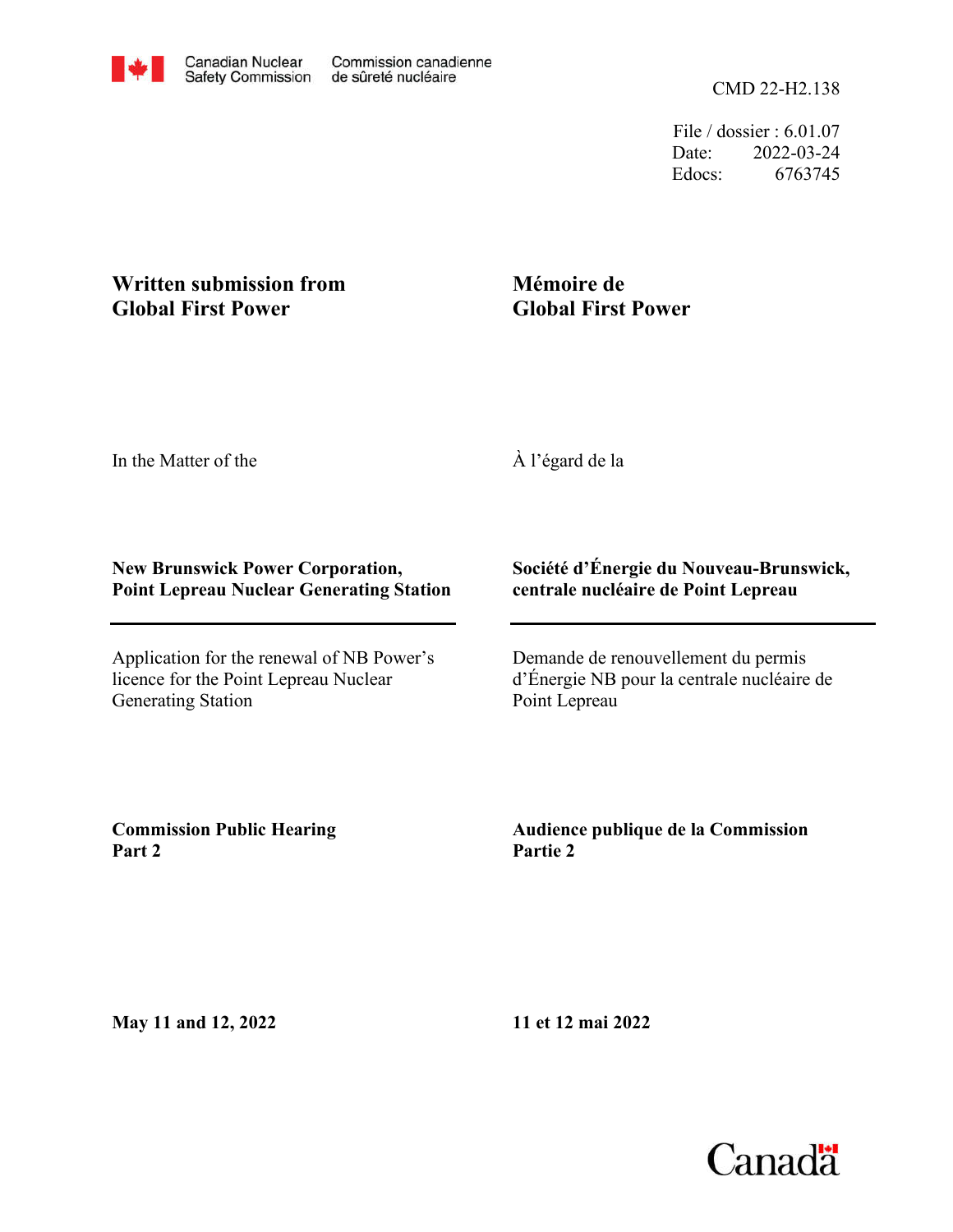File / dossier : 6.01.07 Date: 2022-03-24 Edocs: 6763745

# **Written submission from Global First Power**

# **Mémoire de Global First Power**

In the Matter of the

À l'égard de la

### **New Brunswick Power Corporation, Point Lepreau Nuclear Generating Station**

Application for the renewal of NB Power's licence for the Point Lepreau Nuclear Generating Station

## **Société d'Énergie du Nouveau-Brunswick, centrale nucléaire de Point Lepreau**

Demande de renouvellement du permis d'Énergie NB pour la centrale nucléaire de Point Lepreau

**Commission Public Hearing Part 2**

**Audience publique de la Commission Partie 2**

**May 11 and 12, 2022**

**11 et 12 mai 2022**

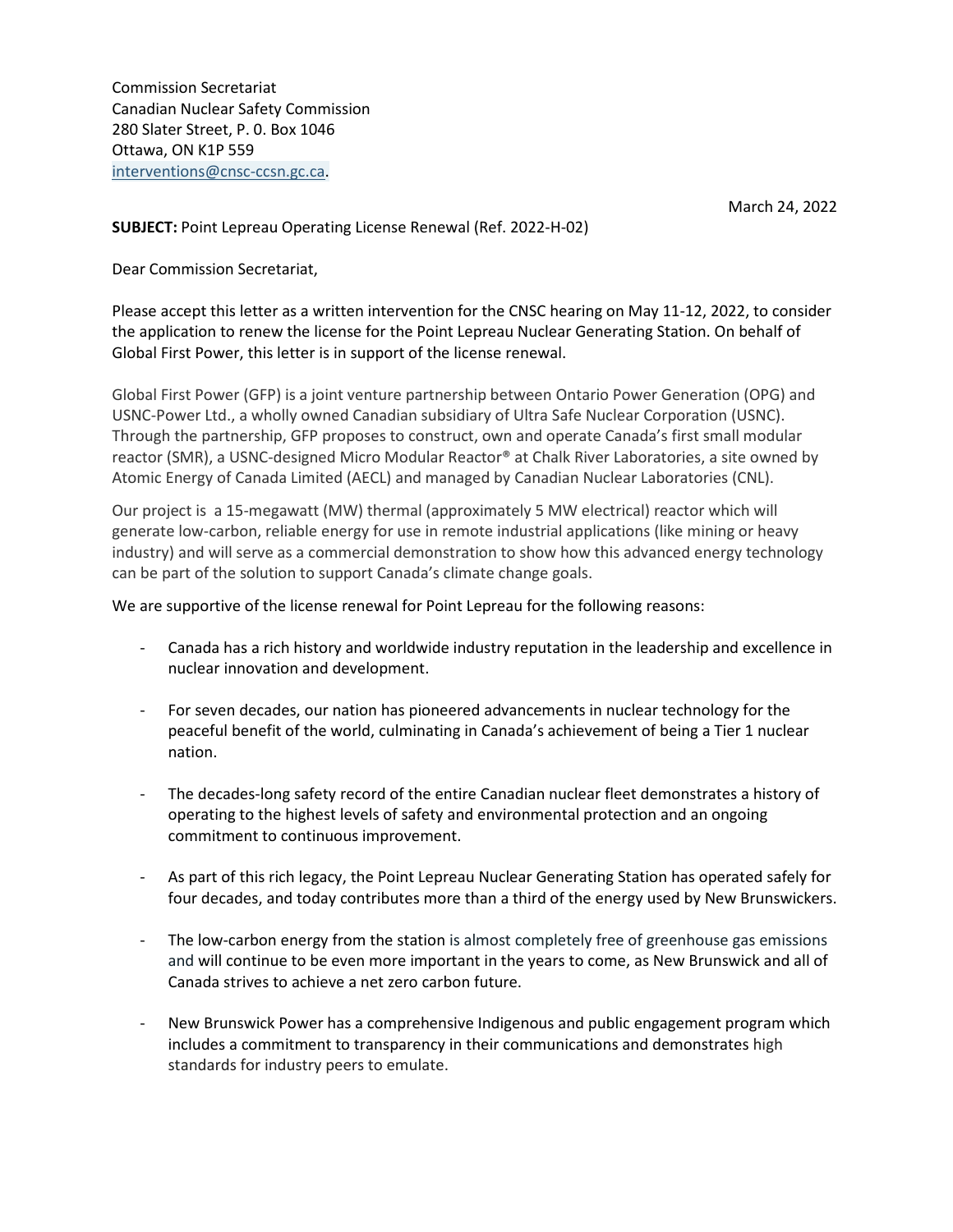Commission Secretariat Canadian Nuclear Safety Commission 280 Slater Street, P. 0. Box 1046 Ottawa, ON K1P 559 [interventions@cnsc-ccsn.gc.ca.](mailto:interventions@cnsc-ccsn.gc.ca)

March 24, 2022

**SUBJECT:** Point Lepreau Operating License Renewal (Ref. 2022-H-02)

Dear Commission Secretariat,

Please accept this letter as a written intervention for the CNSC hearing on May 11-12, 2022, to consider the application to renew the license for the Point Lepreau Nuclear Generating Station. On behalf of Global First Power, this letter is in support of the license renewal.

Global First Power (GFP) is a joint venture partnership between Ontario Power Generation (OPG) and USNC-Power Ltd., a wholly owned Canadian subsidiary of Ultra Safe Nuclear Corporation (USNC). Through the partnership, GFP proposes to construct, own and operate Canada's first small modular reactor (SMR), a USNC-designed Micro Modular Reactor® at Chalk River Laboratories, a site owned by Atomic Energy of Canada Limited (AECL) and managed by Canadian Nuclear Laboratories (CNL).

Our project is a 15-megawatt (MW) thermal (approximately 5 MW electrical) reactor which will generate low-carbon, reliable energy for use in remote industrial applications (like mining or heavy industry) and will serve as a commercial demonstration to show how this advanced energy technology can be part of the solution to support Canada's climate change goals.

#### We are supportive of the license renewal for Point Lepreau for the following reasons:

- Canada has a rich history and worldwide industry reputation in the leadership and excellence in nuclear innovation and development.
- For seven decades, our nation has pioneered advancements in nuclear technology for the peaceful benefit of the world, culminating in Canada's achievement of being a Tier 1 nuclear nation.
- The decades-long safety record of the entire Canadian nuclear fleet demonstrates a history of operating to the highest levels of safety and environmental protection and an ongoing commitment to continuous improvement.
- As part of this rich legacy, the Point Lepreau Nuclear Generating Station has operated safely for four decades, and today contributes more than a third of the energy used by New Brunswickers.
- The low-carbon energy from the station is almost completely free of greenhouse gas emissions and will continue to be even more important in the years to come, as New Brunswick and all of Canada strives to achieve a net zero carbon future.
- New Brunswick Power has a comprehensive Indigenous and public engagement program which includes a commitment to transparency in their communications and demonstrates high standards for industry peers to emulate.